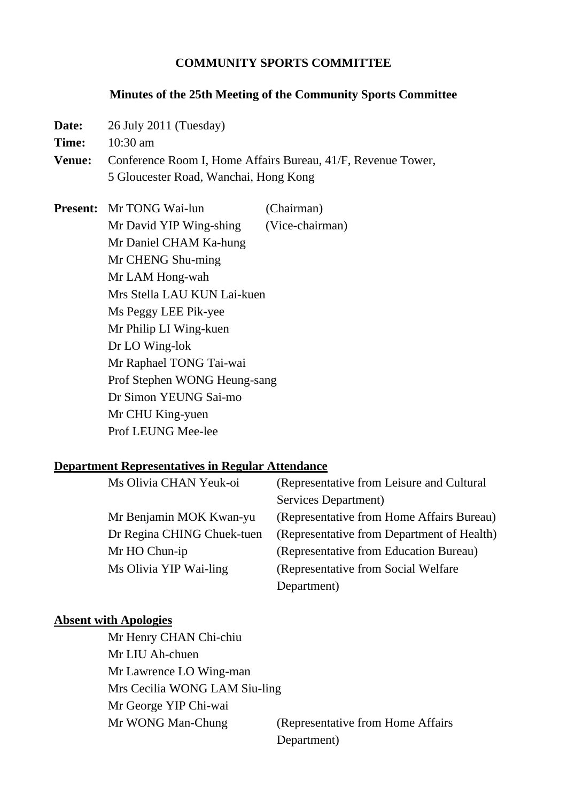### **COMMUNITY SPORTS COMMITTEE**

#### **Minutes of the 25th Meeting of the Community Sports Committee**

- **Date:** 26 July 2011 (Tuesday)
- **Time:** 10:30 am
- **Venue:** Conference Room I, Home Affairs Bureau, 41/F, Revenue Tower, 5 Gloucester Road, Wanchai, Hong Kong

**Present:** Mr TONG Wai-lun (Chairman) Mr David YIP Wing-shing (Vice-chairman) Mr Daniel CHAM Ka-hung Mr CHENG Shu-ming Mr LAM Hong-wah Mrs Stella LAU KUN Lai-kuen Ms Peggy LEE Pik-yee Mr Philip LI Wing-kuen Dr LO Wing-lok Mr Raphael TONG Tai-wai Prof Stephen WONG Heung-sang Dr Simon YEUNG Sai-mo Mr CHU King-yuen Prof LEUNG Mee-lee

#### **Department Representatives in Regular Attendance**

| Ms Olivia CHAN Yeuk-oi     | (Representative from Leisure and Cultural) |
|----------------------------|--------------------------------------------|
|                            | Services Department)                       |
| Mr Benjamin MOK Kwan-yu    | (Representative from Home Affairs Bureau)  |
| Dr Regina CHING Chuek-tuen | (Representative from Department of Health) |
| Mr HO Chun-ip              | (Representative from Education Bureau)     |
| Ms Olivia YIP Wai-ling     | (Representative from Social Welfare)       |
|                            | Department)                                |

### **Absent with Apologies**

 Mr Henry CHAN Chi-chiu Mr LIU Ah-chuen Mr Lawrence LO Wing-man Mrs Cecilia WONG LAM Siu-ling Mr George YIP Chi-wai Mr WONG Man-Chung (Representative from Home Affairs) Department)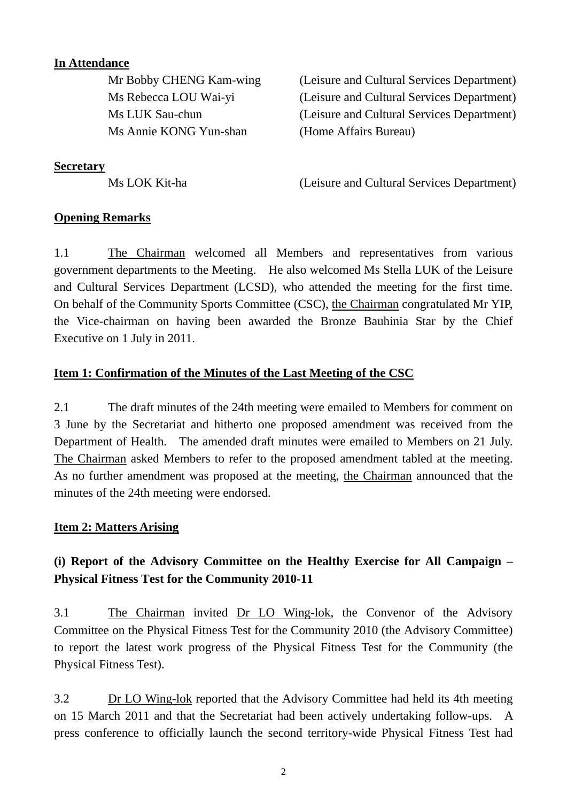# **In Attendance**

Ms Annie KONG Yun-shan (Home Affairs Bureau)

 Mr Bobby CHENG Kam-wing (Leisure and Cultural Services Department) Ms Rebecca LOU Wai-yi (Leisure and Cultural Services Department) Ms LUK Sau-chun (Leisure and Cultural Services Department)

**Secretary**

Ms LOK Kit-ha (Leisure and Cultural Services Department)

## **Opening Remarks**

1.1 The Chairman welcomed all Members and representatives from various government departments to the Meeting. He also welcomed Ms Stella LUK of the Leisure and Cultural Services Department (LCSD), who attended the meeting for the first time. On behalf of the Community Sports Committee (CSC), the Chairman congratulated Mr YIP, the Vice-chairman on having been awarded the Bronze Bauhinia Star by the Chief Executive on 1 July in 2011.

## **Item 1: Confirmation of the Minutes of the Last Meeting of the CSC**

2.1 The draft minutes of the 24th meeting were emailed to Members for comment on 3 June by the Secretariat and hitherto one proposed amendment was received from the Department of Health. The amended draft minutes were emailed to Members on 21 July. The Chairman asked Members to refer to the proposed amendment tabled at the meeting. As no further amendment was proposed at the meeting, the Chairman announced that the minutes of the 24th meeting were endorsed.

## **Item 2: Matters Arising**

# **(i) Report of the Advisory Committee on the Healthy Exercise for All Campaign – Physical Fitness Test for the Community 2010-11**

3.1 The Chairman invited Dr LO Wing-lok, the Convenor of the Advisory Committee on the Physical Fitness Test for the Community 2010 (the Advisory Committee) to report the latest work progress of the Physical Fitness Test for the Community (the Physical Fitness Test).

3.2 Dr LO Wing-lok reported that the Advisory Committee had held its 4th meeting on 15 March 2011 and that the Secretariat had been actively undertaking follow-ups. A press conference to officially launch the second territory-wide Physical Fitness Test had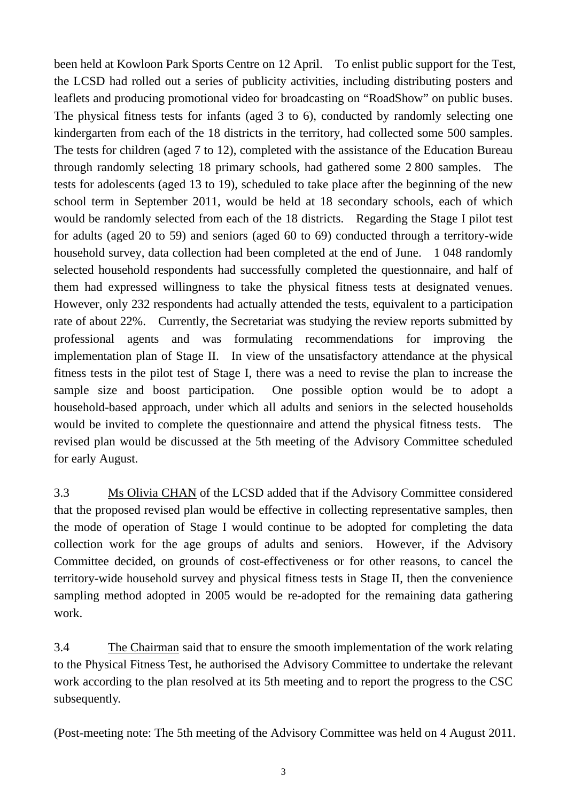been held at Kowloon Park Sports Centre on 12 April. To enlist public support for the Test, the LCSD had rolled out a series of publicity activities, including distributing posters and leaflets and producing promotional video for broadcasting on "RoadShow" on public buses. The physical fitness tests for infants (aged 3 to 6), conducted by randomly selecting one kindergarten from each of the 18 districts in the territory, had collected some 500 samples. The tests for children (aged 7 to 12), completed with the assistance of the Education Bureau through randomly selecting 18 primary schools, had gathered some 2 800 samples. The tests for adolescents (aged 13 to 19), scheduled to take place after the beginning of the new school term in September 2011, would be held at 18 secondary schools, each of which would be randomly selected from each of the 18 districts. Regarding the Stage I pilot test for adults (aged 20 to 59) and seniors (aged 60 to 69) conducted through a territory-wide household survey, data collection had been completed at the end of June. 1 048 randomly selected household respondents had successfully completed the questionnaire, and half of them had expressed willingness to take the physical fitness tests at designated venues. However, only 232 respondents had actually attended the tests, equivalent to a participation rate of about 22%. Currently, the Secretariat was studying the review reports submitted by professional agents and was formulating recommendations for improving the implementation plan of Stage II. In view of the unsatisfactory attendance at the physical fitness tests in the pilot test of Stage I, there was a need to revise the plan to increase the sample size and boost participation. One possible option would be to adopt a household-based approach, under which all adults and seniors in the selected households would be invited to complete the questionnaire and attend the physical fitness tests. The revised plan would be discussed at the 5th meeting of the Advisory Committee scheduled for early August.

3.3 Ms Olivia CHAN of the LCSD added that if the Advisory Committee considered that the proposed revised plan would be effective in collecting representative samples, then the mode of operation of Stage I would continue to be adopted for completing the data collection work for the age groups of adults and seniors. However, if the Advisory Committee decided, on grounds of cost-effectiveness or for other reasons, to cancel the territory-wide household survey and physical fitness tests in Stage II, then the convenience sampling method adopted in 2005 would be re-adopted for the remaining data gathering work.

3.4 The Chairman said that to ensure the smooth implementation of the work relating to the Physical Fitness Test, he authorised the Advisory Committee to undertake the relevant work according to the plan resolved at its 5th meeting and to report the progress to the CSC subsequently.

(Post-meeting note: The 5th meeting of the Advisory Committee was held on 4 August 2011.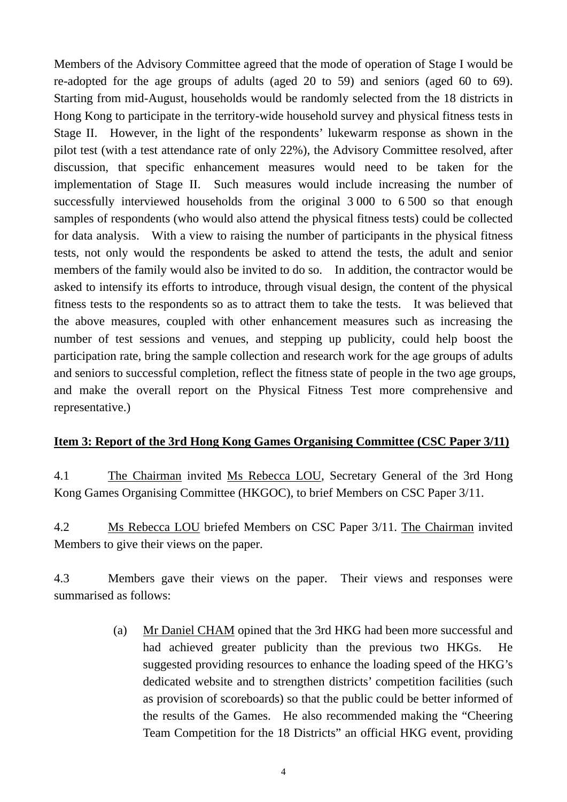Members of the Advisory Committee agreed that the mode of operation of Stage I would be re-adopted for the age groups of adults (aged 20 to 59) and seniors (aged 60 to 69). Starting from mid-August, households would be randomly selected from the 18 districts in Hong Kong to participate in the territory-wide household survey and physical fitness tests in Stage II. However, in the light of the respondents' lukewarm response as shown in the pilot test (with a test attendance rate of only 22%), the Advisory Committee resolved, after discussion, that specific enhancement measures would need to be taken for the implementation of Stage II. Such measures would include increasing the number of successfully interviewed households from the original 3 000 to 6 500 so that enough samples of respondents (who would also attend the physical fitness tests) could be collected for data analysis. With a view to raising the number of participants in the physical fitness tests, not only would the respondents be asked to attend the tests, the adult and senior members of the family would also be invited to do so. In addition, the contractor would be asked to intensify its efforts to introduce, through visual design, the content of the physical fitness tests to the respondents so as to attract them to take the tests. It was believed that the above measures, coupled with other enhancement measures such as increasing the number of test sessions and venues, and stepping up publicity, could help boost the participation rate, bring the sample collection and research work for the age groups of adults and seniors to successful completion, reflect the fitness state of people in the two age groups, and make the overall report on the Physical Fitness Test more comprehensive and representative.)

## **Item 3: Report of the 3rd Hong Kong Games Organising Committee (CSC Paper 3/11)**

4.1 The Chairman invited Ms Rebecca LOU, Secretary General of the 3rd Hong Kong Games Organising Committee (HKGOC), to brief Members on CSC Paper 3/11.

4.2 Ms Rebecca LOU briefed Members on CSC Paper 3/11. The Chairman invited Members to give their views on the paper.

4.3 Members gave their views on the paper. Their views and responses were summarised as follows:

> (a) Mr Daniel CHAM opined that the 3rd HKG had been more successful and had achieved greater publicity than the previous two HKGs. He suggested providing resources to enhance the loading speed of the HKG's dedicated website and to strengthen districts' competition facilities (such as provision of scoreboards) so that the public could be better informed of the results of the Games. He also recommended making the "Cheering Team Competition for the 18 Districts" an official HKG event, providing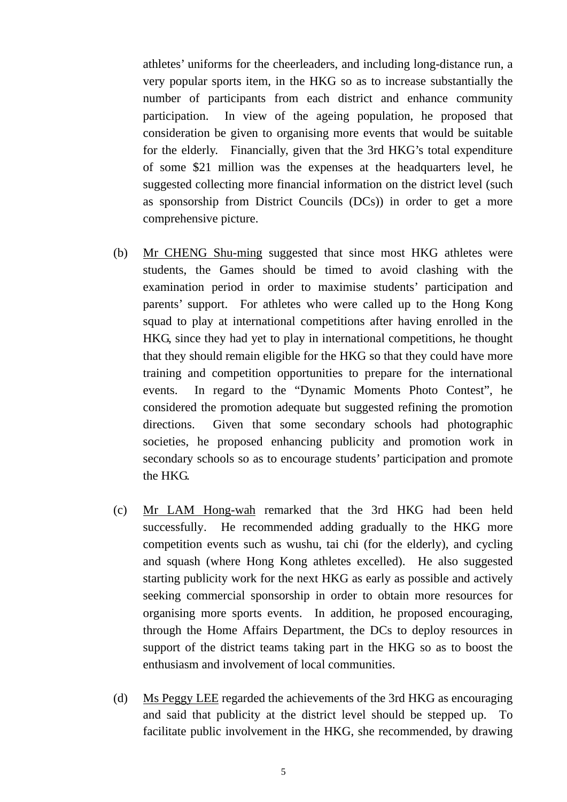athletes' uniforms for the cheerleaders, and including long-distance run, a very popular sports item, in the HKG so as to increase substantially the number of participants from each district and enhance community participation. In view of the ageing population, he proposed that consideration be given to organising more events that would be suitable for the elderly. Financially, given that the 3rd HKG's total expenditure of some \$21 million was the expenses at the headquarters level, he suggested collecting more financial information on the district level (such as sponsorship from District Councils (DCs)) in order to get a more comprehensive picture.

- (b) Mr CHENG Shu-ming suggested that since most HKG athletes were students, the Games should be timed to avoid clashing with the examination period in order to maximise students' participation and parents' support. For athletes who were called up to the Hong Kong squad to play at international competitions after having enrolled in the HKG, since they had yet to play in international competitions, he thought that they should remain eligible for the HKG so that they could have more training and competition opportunities to prepare for the international events. In regard to the "Dynamic Moments Photo Contest", he considered the promotion adequate but suggested refining the promotion directions. Given that some secondary schools had photographic societies, he proposed enhancing publicity and promotion work in secondary schools so as to encourage students' participation and promote the HKG.
- (c) Mr LAM Hong-wah remarked that the 3rd HKG had been held successfully. He recommended adding gradually to the HKG more competition events such as wushu, tai chi (for the elderly), and cycling and squash (where Hong Kong athletes excelled). He also suggested starting publicity work for the next HKG as early as possible and actively seeking commercial sponsorship in order to obtain more resources for organising more sports events. In addition, he proposed encouraging, through the Home Affairs Department, the DCs to deploy resources in support of the district teams taking part in the HKG so as to boost the enthusiasm and involvement of local communities.
- (d) Ms Peggy LEE regarded the achievements of the 3rd HKG as encouraging and said that publicity at the district level should be stepped up. To facilitate public involvement in the HKG, she recommended, by drawing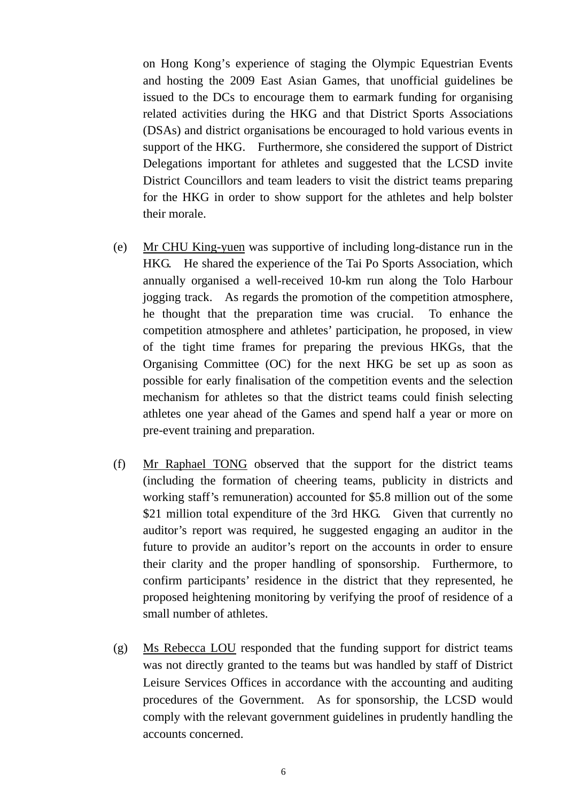on Hong Kong's experience of staging the Olympic Equestrian Events and hosting the 2009 East Asian Games, that unofficial guidelines be issued to the DCs to encourage them to earmark funding for organising related activities during the HKG and that District Sports Associations (DSAs) and district organisations be encouraged to hold various events in support of the HKG. Furthermore, she considered the support of District Delegations important for athletes and suggested that the LCSD invite District Councillors and team leaders to visit the district teams preparing for the HKG in order to show support for the athletes and help bolster their morale.

- (e) Mr CHU King-yuen was supportive of including long-distance run in the HKG. He shared the experience of the Tai Po Sports Association, which annually organised a well-received 10-km run along the Tolo Harbour jogging track. As regards the promotion of the competition atmosphere, he thought that the preparation time was crucial. To enhance the competition atmosphere and athletes' participation, he proposed, in view of the tight time frames for preparing the previous HKGs, that the Organising Committee (OC) for the next HKG be set up as soon as possible for early finalisation of the competition events and the selection mechanism for athletes so that the district teams could finish selecting athletes one year ahead of the Games and spend half a year or more on pre-event training and preparation.
- (f) Mr Raphael TONG observed that the support for the district teams (including the formation of cheering teams, publicity in districts and working staff's remuneration) accounted for \$5.8 million out of the some \$21 million total expenditure of the 3rd HKG. Given that currently no auditor's report was required, he suggested engaging an auditor in the future to provide an auditor's report on the accounts in order to ensure their clarity and the proper handling of sponsorship. Furthermore, to confirm participants' residence in the district that they represented, he proposed heightening monitoring by verifying the proof of residence of a small number of athletes.
- (g) Ms Rebecca LOU responded that the funding support for district teams was not directly granted to the teams but was handled by staff of District Leisure Services Offices in accordance with the accounting and auditing procedures of the Government. As for sponsorship, the LCSD would comply with the relevant government guidelines in prudently handling the accounts concerned.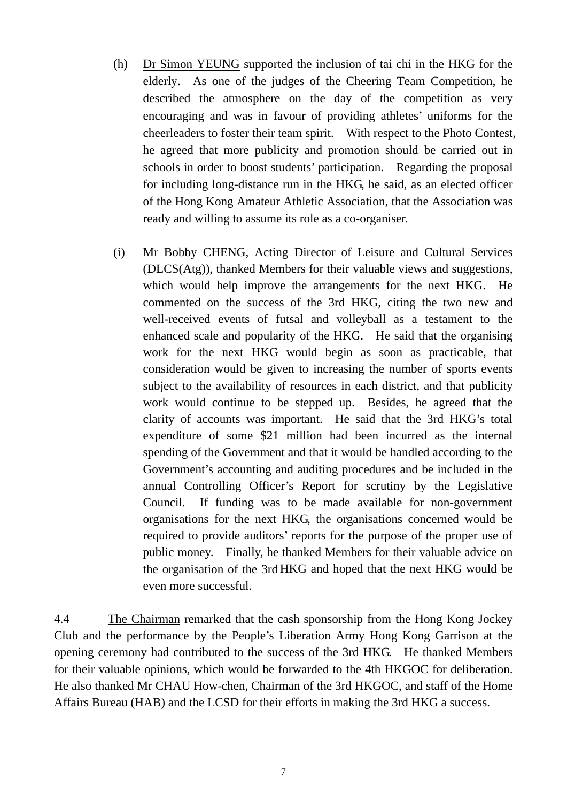- (h) Dr Simon YEUNG supported the inclusion of tai chi in the HKG for the elderly. As one of the judges of the Cheering Team Competition, he described the atmosphere on the day of the competition as very encouraging and was in favour of providing athletes' uniforms for the cheerleaders to foster their team spirit. With respect to the Photo Contest, he agreed that more publicity and promotion should be carried out in schools in order to boost students' participation. Regarding the proposal for including long-distance run in the HKG, he said, as an elected officer of the Hong Kong Amateur Athletic Association, that the Association was ready and willing to assume its role as a co-organiser.
- (i) Mr Bobby CHENG, Acting Director of Leisure and Cultural Services (DLCS(Atg)), thanked Members for their valuable views and suggestions, which would help improve the arrangements for the next HKG. He commented on the success of the 3rd HKG, citing the two new and well-received events of futsal and volleyball as a testament to the enhanced scale and popularity of the HKG. He said that the organising work for the next HKG would begin as soon as practicable, that consideration would be given to increasing the number of sports events subject to the availability of resources in each district, and that publicity work would continue to be stepped up. Besides, he agreed that the clarity of accounts was important. He said that the 3rd HKG's total expenditure of some \$21 million had been incurred as the internal spending of the Government and that it would be handled according to the Government's accounting and auditing procedures and be included in the annual Controlling Officer's Report for scrutiny by the Legislative Council. If funding was to be made available for non-government organisations for the next HKG, the organisations concerned would be required to provide auditors' reports for the purpose of the proper use of public money. Finally, he thanked Members for their valuable advice on the organisation of the 3rd HKG and hoped that the next HKG would be even more successful.

4.4 The Chairman remarked that the cash sponsorship from the Hong Kong Jockey Club and the performance by the People's Liberation Army Hong Kong Garrison at the opening ceremony had contributed to the success of the 3rd HKG. He thanked Members for their valuable opinions, which would be forwarded to the 4th HKGOC for deliberation. He also thanked Mr CHAU How-chen, Chairman of the 3rd HKGOC, and staff of the Home Affairs Bureau (HAB) and the LCSD for their efforts in making the 3rd HKG a success.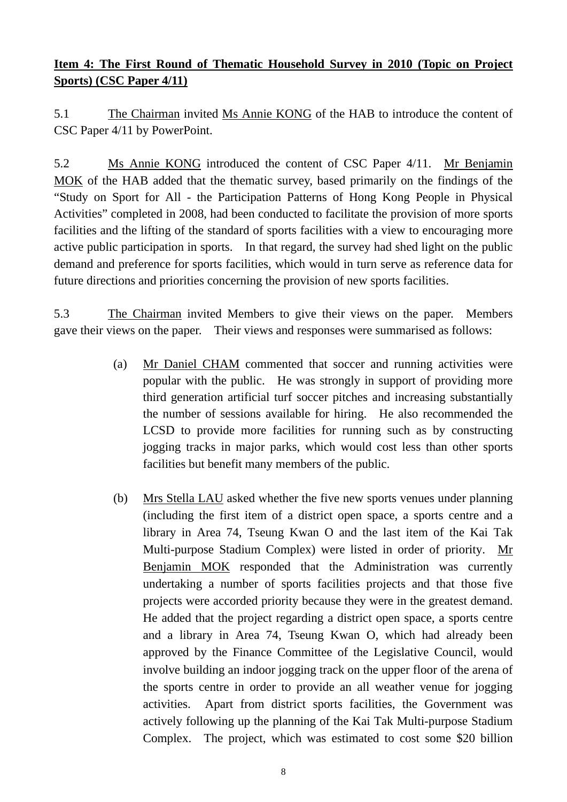# **Item 4: The First Round of Thematic Household Survey in 2010 (Topic on Project Sports) (CSC Paper 4/11)**

5.1 The Chairman invited Ms Annie KONG of the HAB to introduce the content of CSC Paper 4/11 by PowerPoint.

5.2 Ms Annie KONG introduced the content of CSC Paper 4/11. Mr Benjamin MOK of the HAB added that the thematic survey, based primarily on the findings of the "Study on Sport for All - the Participation Patterns of Hong Kong People in Physical Activities" completed in 2008, had been conducted to facilitate the provision of more sports facilities and the lifting of the standard of sports facilities with a view to encouraging more active public participation in sports. In that regard, the survey had shed light on the public demand and preference for sports facilities, which would in turn serve as reference data for future directions and priorities concerning the provision of new sports facilities.

5.3 The Chairman invited Members to give their views on the paper. Members gave their views on the paper. Their views and responses were summarised as follows:

- (a) Mr Daniel CHAM commented that soccer and running activities were popular with the public. He was strongly in support of providing more third generation artificial turf soccer pitches and increasing substantially the number of sessions available for hiring. He also recommended the LCSD to provide more facilities for running such as by constructing jogging tracks in major parks, which would cost less than other sports facilities but benefit many members of the public.
- (b) Mrs Stella LAU asked whether the five new sports venues under planning (including the first item of a district open space, a sports centre and a library in Area 74, Tseung Kwan O and the last item of the Kai Tak Multi-purpose Stadium Complex) were listed in order of priority. Mr Benjamin MOK responded that the Administration was currently undertaking a number of sports facilities projects and that those five projects were accorded priority because they were in the greatest demand. He added that the project regarding a district open space, a sports centre and a library in Area 74, Tseung Kwan O, which had already been approved by the Finance Committee of the Legislative Council, would involve building an indoor jogging track on the upper floor of the arena of the sports centre in order to provide an all weather venue for jogging activities. Apart from district sports facilities, the Government was actively following up the planning of the Kai Tak Multi-purpose Stadium Complex. The project, which was estimated to cost some \$20 billion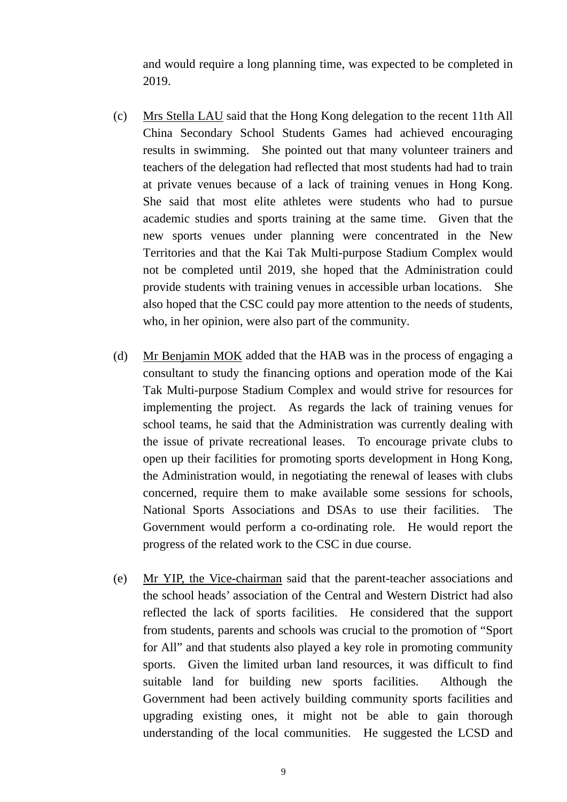and would require a long planning time, was expected to be completed in 2019.

- (c) Mrs Stella LAU said that the Hong Kong delegation to the recent 11th All China Secondary School Students Games had achieved encouraging results in swimming. She pointed out that many volunteer trainers and teachers of the delegation had reflected that most students had had to train at private venues because of a lack of training venues in Hong Kong. She said that most elite athletes were students who had to pursue academic studies and sports training at the same time. Given that the new sports venues under planning were concentrated in the New Territories and that the Kai Tak Multi-purpose Stadium Complex would not be completed until 2019, she hoped that the Administration could provide students with training venues in accessible urban locations. She also hoped that the CSC could pay more attention to the needs of students, who, in her opinion, were also part of the community.
- (d) Mr Benjamin MOK added that the HAB was in the process of engaging a consultant to study the financing options and operation mode of the Kai Tak Multi-purpose Stadium Complex and would strive for resources for implementing the project. As regards the lack of training venues for school teams, he said that the Administration was currently dealing with the issue of private recreational leases. To encourage private clubs to open up their facilities for promoting sports development in Hong Kong, the Administration would, in negotiating the renewal of leases with clubs concerned, require them to make available some sessions for schools, National Sports Associations and DSAs to use their facilities. The Government would perform a co-ordinating role. He would report the progress of the related work to the CSC in due course.
- (e) Mr YIP, the Vice-chairman said that the parent-teacher associations and the school heads' association of the Central and Western District had also reflected the lack of sports facilities. He considered that the support from students, parents and schools was crucial to the promotion of "Sport for All" and that students also played a key role in promoting community sports. Given the limited urban land resources, it was difficult to find suitable land for building new sports facilities. Although the Government had been actively building community sports facilities and upgrading existing ones, it might not be able to gain thorough understanding of the local communities. He suggested the LCSD and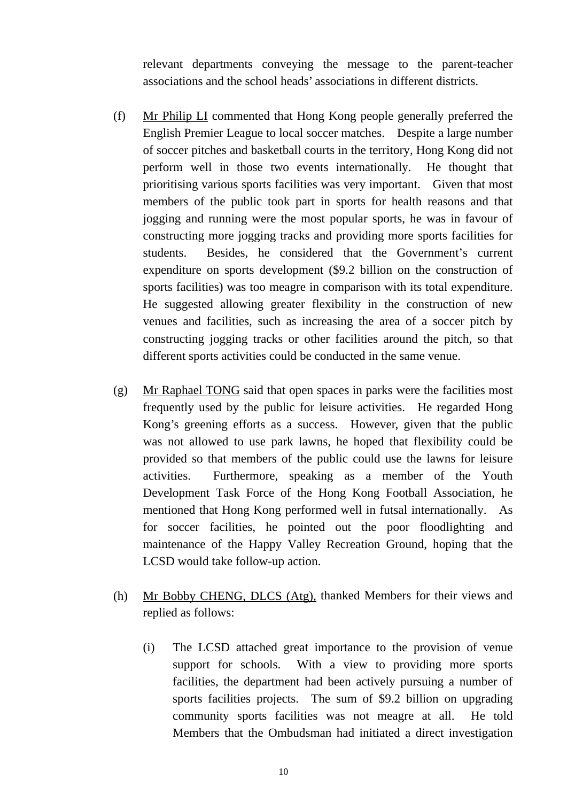relevant departments conveying the message to the parent-teacher associations and the school heads' associations in different districts.

- (f) Mr Philip LI commented that Hong Kong people generally preferred the English Premier League to local soccer matches. Despite a large number of soccer pitches and basketball courts in the territory, Hong Kong did not perform well in those two events internationally. He thought that prioritising various sports facilities was very important. Given that most members of the public took part in sports for health reasons and that jogging and running were the most popular sports, he was in favour of constructing more jogging tracks and providing more sports facilities for students. Besides, he considered that the Government's current expenditure on sports development (\$9.2 billion on the construction of sports facilities) was too meagre in comparison with its total expenditure. He suggested allowing greater flexibility in the construction of new venues and facilities, such as increasing the area of a soccer pitch by constructing jogging tracks or other facilities around the pitch, so that different sports activities could be conducted in the same venue.
- (g) Mr Raphael TONG said that open spaces in parks were the facilities most frequently used by the public for leisure activities. He regarded Hong Kong's greening efforts as a success. However, given that the public was not allowed to use park lawns, he hoped that flexibility could be provided so that members of the public could use the lawns for leisure activities. Furthermore, speaking as a member of the Youth Development Task Force of the Hong Kong Football Association, he mentioned that Hong Kong performed well in futsal internationally. As for soccer facilities, he pointed out the poor floodlighting and maintenance of the Happy Valley Recreation Ground, hoping that the LCSD would take follow-up action.
- (h) Mr Bobby CHENG, DLCS (Atg), thanked Members for their views and replied as follows:
	- (i) The LCSD attached great importance to the provision of venue support for schools. With a view to providing more sports facilities, the department had been actively pursuing a number of sports facilities projects. The sum of \$9.2 billion on upgrading community sports facilities was not meagre at all. He told Members that the Ombudsman had initiated a direct investigation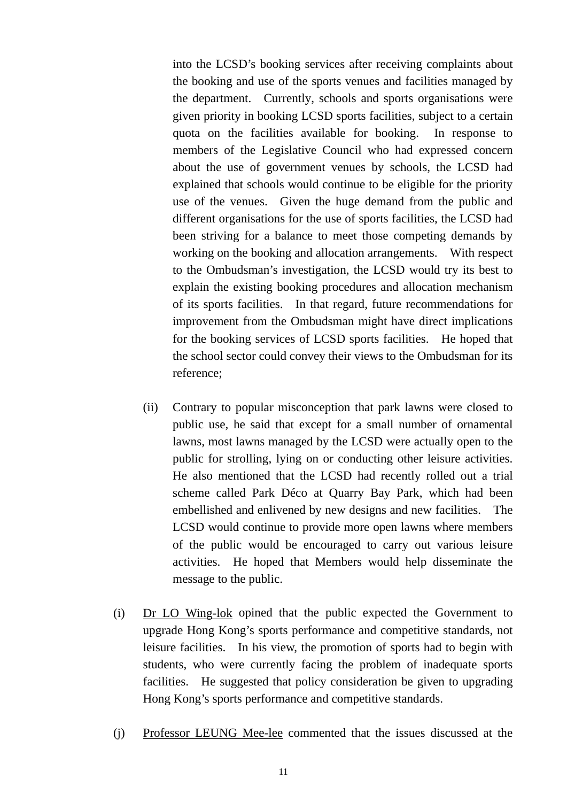into the LCSD's booking services after receiving complaints about the booking and use of the sports venues and facilities managed by the department. Currently, schools and sports organisations were given priority in booking LCSD sports facilities, subject to a certain quota on the facilities available for booking. In response to members of the Legislative Council who had expressed concern about the use of government venues by schools, the LCSD had explained that schools would continue to be eligible for the priority use of the venues. Given the huge demand from the public and different organisations for the use of sports facilities, the LCSD had been striving for a balance to meet those competing demands by working on the booking and allocation arrangements. With respect to the Ombudsman's investigation, the LCSD would try its best to explain the existing booking procedures and allocation mechanism of its sports facilities. In that regard, future recommendations for improvement from the Ombudsman might have direct implications for the booking services of LCSD sports facilities. He hoped that the school sector could convey their views to the Ombudsman for its reference;

- (ii) Contrary to popular misconception that park lawns were closed to public use, he said that except for a small number of ornamental lawns, most lawns managed by the LCSD were actually open to the public for strolling, lying on or conducting other leisure activities. He also mentioned that the LCSD had recently rolled out a trial scheme called Park Déco at Quarry Bay Park, which had been embellished and enlivened by new designs and new facilities. The LCSD would continue to provide more open lawns where members of the public would be encouraged to carry out various leisure activities. He hoped that Members would help disseminate the message to the public.
- (i) Dr LO Wing-lok opined that the public expected the Government to upgrade Hong Kong's sports performance and competitive standards, not leisure facilities. In his view, the promotion of sports had to begin with students, who were currently facing the problem of inadequate sports facilities. He suggested that policy consideration be given to upgrading Hong Kong's sports performance and competitive standards.
- (j) Professor LEUNG Mee-lee commented that the issues discussed at the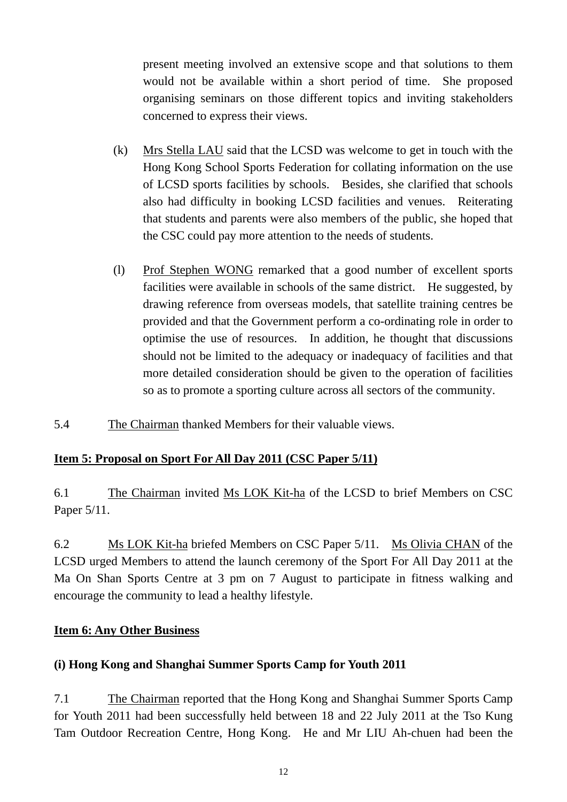present meeting involved an extensive scope and that solutions to them would not be available within a short period of time. She proposed organising seminars on those different topics and inviting stakeholders concerned to express their views.

- (k) Mrs Stella LAU said that the LCSD was welcome to get in touch with the Hong Kong School Sports Federation for collating information on the use of LCSD sports facilities by schools. Besides, she clarified that schools also had difficulty in booking LCSD facilities and venues. Reiterating that students and parents were also members of the public, she hoped that the CSC could pay more attention to the needs of students.
- (l) Prof Stephen WONG remarked that a good number of excellent sports facilities were available in schools of the same district. He suggested, by drawing reference from overseas models, that satellite training centres be provided and that the Government perform a co-ordinating role in order to optimise the use of resources. In addition, he thought that discussions should not be limited to the adequacy or inadequacy of facilities and that more detailed consideration should be given to the operation of facilities so as to promote a sporting culture across all sectors of the community.
- 5.4 The Chairman thanked Members for their valuable views.

## **Item 5: Proposal on Sport For All Day 2011 (CSC Paper 5/11)**

6.1 The Chairman invited Ms LOK Kit-ha of the LCSD to brief Members on CSC Paper 5/11.

6.2 Ms LOK Kit-ha briefed Members on CSC Paper 5/11. Ms Olivia CHAN of the LCSD urged Members to attend the launch ceremony of the Sport For All Day 2011 at the Ma On Shan Sports Centre at 3 pm on 7 August to participate in fitness walking and encourage the community to lead a healthy lifestyle.

## **Item 6: Any Other Business**

## **(i) Hong Kong and Shanghai Summer Sports Camp for Youth 2011**

7.1 The Chairman reported that the Hong Kong and Shanghai Summer Sports Camp for Youth 2011 had been successfully held between 18 and 22 July 2011 at the Tso Kung Tam Outdoor Recreation Centre, Hong Kong. He and Mr LIU Ah-chuen had been the